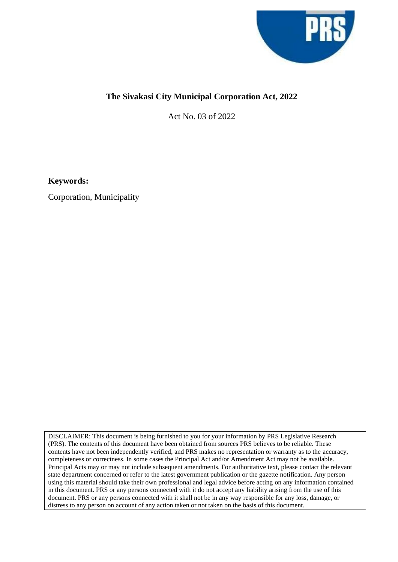

## **The Sivakasi City Municipal Corporation Act, 2022**

Act No. 03 of 2022

**Keywords:**

Corporation, Municipality

DISCLAIMER: This document is being furnished to you for your information by PRS Legislative Research (PRS). The contents of this document have been obtained from sources PRS believes to be reliable. These contents have not been independently verified, and PRS makes no representation or warranty as to the accuracy, completeness or correctness. In some cases the Principal Act and/or Amendment Act may not be available. Principal Acts may or may not include subsequent amendments. For authoritative text, please contact the relevant state department concerned or refer to the latest government publication or the gazette notification. Any person using this material should take their own professional and legal advice before acting on any information contained in this document. PRS or any persons connected with it do not accept any liability arising from the use of this document. PRS or any persons connected with it shall not be in any way responsible for any loss, damage, or distress to any person on account of any action taken or not taken on the basis of this document.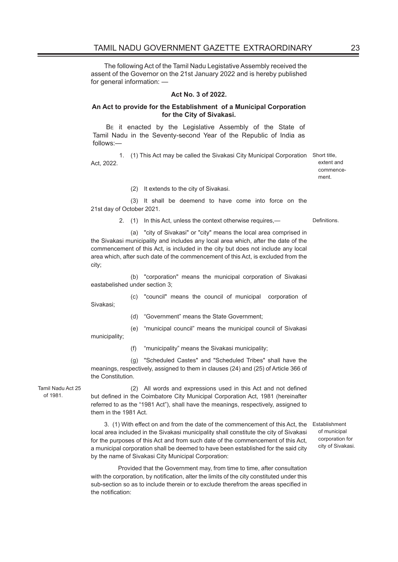The following Act of the Tamil Nadu Legistative Assembly received the assent of the Governor on the 21st January 2022 and is hereby published for general information: —

## **Act No. 3 of 2022.**

## **An Act to provide for the Establishment of a Municipal Corporation for the City of Sivakasi.**

BE it enacted by the Legislative Assembly of the State of Tamil Nadu in the Seventy-second Year of the Republic of India as follows:—

 1. (1) This Act may be called the Sivakasi City Municipal Corporation Short title, Act, 2022.

extent and commencement.

(2) It extends to the city of Sivakasi.

 (3) It shall be deemend to have come into force on the 21st day of October 2021.

2. (1) In this Act, unless the context otherwise requires,— Definitions.

 (a) "city of Sivakasi" or "city" means the local area comprised in the Sivakasi municipality and includes any local area which, after the date of the commencement of this Act, is included in the city but does not include any local area which, after such date of the commencement of this Act, is excluded from the city;

 (b) "corporation" means the municipal corporation of Sivakasi eastabelished under section 3;

(c) "council" means the council of municipal corporation of

(d) "Government" means the State Government;

 (e) "municipal council" means the municipal council of Sivakasi municipality;

Sivakasi;

(f) "municipality" means the Sivakasi municipality;

 (g) "Scheduled Castes" and "Scheduled Tribes" shall have the meanings, respectively, assigned to them in clauses (24) and (25) of Article 366 of the Constitution.

Tamil Nadu Act 25 of 1981.

(2) All words and expressions used in this Act and not defined but defined in the Coimbatore City Municipal Corporation Act, 1981 (hereinafter referred to as the "1981 Act"), shall have the meanings, respectively, assigned to them in the 1981 Act.

3. (1) With effect on and from the date of the commencement of this Act, the Establishment local area included in the Sivakasi municipality shall constitute the city of Sivakasi for the purposes of this Act and from such date of the commencement of this Act, a municipal corporation shall be deemed to have been established for the said city by the name of Sivakasi City Municipal Corporation:

of municipal corporation for city of Sivakasi.

 Provided that the Government may, from time to time, after consultation with the corporation, by notification, alter the limits of the city constituted under this sub-section so as to include therein or to exclude therefrom the areas specified in the notification: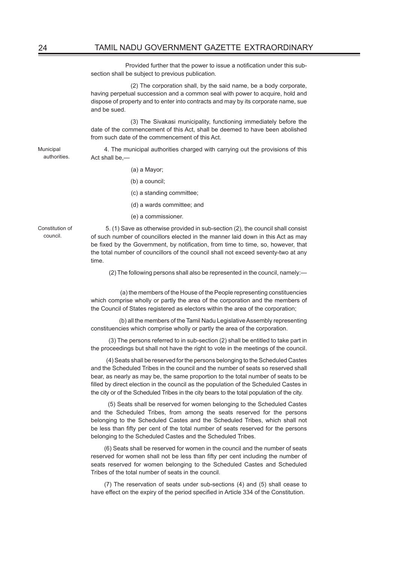Provided further that the power to issue a notification under this subsection shall be subject to previous publication.

 (2) The corporation shall, by the said name, be a body corporate, having perpetual succession and a common seal with power to acquire, hold and dispose of property and to enter into contracts and may by its corporate name, sue and be sued.

 (3) The Sivakasi municipality, functioning immediately before the date of the commencement of this Act, shall be deemed to have been abolished from such date of the commencement of this Act.

4. The municipal authorities charged with carrying out the provisions of this Act shall be,—

- (a) a Mayor;
- (b) a council;
- (c) a standing committee;
- (d) a wards committee; and
- (e) a commissioner.

Constitution of council.

Municipal authorities.

> 5. (1) Save as otherwise provided in sub-section (2), the council shall consist of such number of councillors elected in the manner laid down in this Act as may be fixed by the Government, by notification, from time to time, so, however, that the total number of councillors of the council shall not exceed seventy-two at any time.

(2) The following persons shall also be represented in the council, namely:—

 (a) the members of the House of the People representing constituencies which comprise wholly or partly the area of the corporation and the members of the Council of States registered as electors within the area of the corporation;

 (b) all the members of the Tamil Nadu Legislative Assembly representing constituencies which comprise wholly or partly the area of the corporation.

 (3) The persons referred to in sub-section (2) shall be entitled to take part in the proceedings but shall not have the right to vote in the meetings of the council.

 (4) Seats shall be reserved for the persons belonging to the Scheduled Castes and the Scheduled Tribes in the council and the number of seats so reserved shall bear, as nearly as may be, the same proportion to the total number of seats to be filled by direct election in the council as the population of the Scheduled Castes in the city or of the Scheduled Tribes in the city bears to the total population of the city.

 (5) Seats shall be reserved for women belonging to the Scheduled Castes and the Scheduled Tribes, from among the seats reserved for the persons belonging to the Scheduled Castes and the Scheduled Tribes, which shall not be less than fifty per cent of the total number of seats reserved for the persons belonging to the Scheduled Castes and the Scheduled Tribes.

(6) Seats shall be reserved for women in the council and the number of seats reserved for women shall not be less than fifty per cent including the number of seats reserved for women belonging to the Scheduled Castes and Scheduled Tribes of the total number of seats in the council.

(7) The reservation of seats under sub-sections (4) and (5) shall cease to have effect on the expiry of the period specified in Article 334 of the Constitution.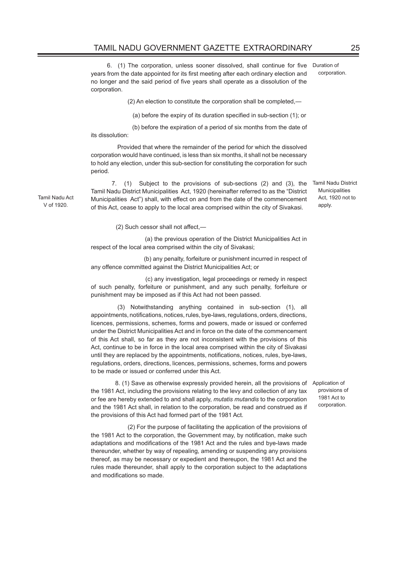6. (1) The corporation, unless sooner dissolved, shall continue for five years from the date appointed for its first meeting after each ordinary election and no longer and the said period of five years shall operate as a dissolution of the corporation. Duration of corporation.

(2) An election to constitute the corporation shall be completed,—

(a) before the expiry of its duration specified in sub-section (1); or

 (b) before the expiration of a period of six months from the date of its dissolution:

 Provided that where the remainder of the period for which the dissolved corporation would have continued, is less than six months, it shall not be necessary to hold any election, under this sub-section for constituting the corporation for such period.

 7. (1) Subject to the provisions of sub-sections (2) and (3), the Tamil Nadu District Municipalities Act, 1920 (hereinafter referred to as the "District Municipalities Act") shall, with effect on and from the date of the commencement of this Act, cease to apply to the local area comprised within the city of Sivakasi.

Tamil Nadu District Municipalities Act, 1920 not to apply.

> provisions of 1981 Act to corporation.

(2) Such cessor shall not affect,—

 (a) the previous operation of the District Municipalities Act in respect of the local area comprised within the city of Sivakasi;

 (b) any penalty, forfeiture or punishment incurred in respect of any offence committed against the District Municipalities Act; or

 (c) any investigation, legal proceedings or remedy in respect of such penalty, forfeiture or punishment, and any such penalty, forfeiture or punishment may be imposed as if this Act had not been passed.

(3) Notwithstanding anything contained in sub-section (1), all appointments, notifications, notices, rules, bye-laws, regulations, orders, directions, licences, permissions, schemes, forms and powers, made or issued or conferred under the District Municipalities Act and in force on the date of the commencement of this Act shall, so far as they are not inconsistent with the provisions of this Act, continue to be in force in the local area comprised within the city of Sivakasi until they are replaced by the appointments, notifications, notices, rules, bye-laws, regulations, orders, directions, licences, permissions, schemes, forms and powers to be made or issued or conferred under this Act.

 8. (1) Save as otherwise expressly provided herein, all the provisions of the 1981 Act, including the provisions relating to the levy and collection of any tax or fee are hereby extended to and shall apply, *mutatis mutandis* to the corporation and the 1981 Act shall, in relation to the corporation, be read and construed as if the provisions of this Act had formed part of the 1981 Act. Application of

 (2) For the purpose of facilitating the application of the provisions of the 1981 Act to the corporation, the Government may, by notification, make such adaptations and modifications of the 1981 Act and the rules and bye-laws made thereunder, whether by way of repealing, amending or suspending any provisions thereof, as may be necessary or expedient and thereupon, the 1981 Act and the rules made thereunder, shall apply to the corporation subject to the adaptations and modifications so made.

Tamil Nadu Act V of 1920.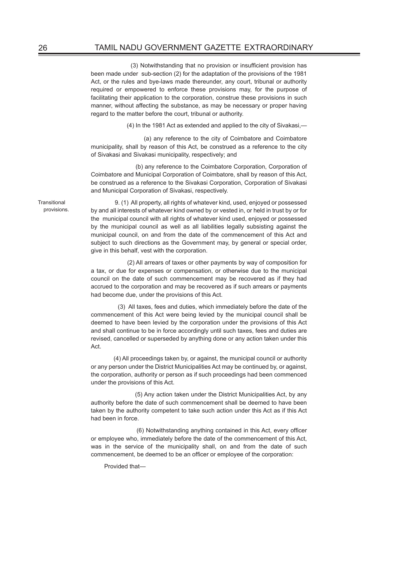(3) Notwithstanding that no provision or insufficient provision has been made under sub-section (2) for the adaptation of the provisions of the 1981 Act, or the rules and bye-laws made thereunder, any court, tribunal or authority required or empowered to enforce these provisions may, for the purpose of facilitating their application to the corporation, construe these provisions in such manner, without affecting the substance, as may be necessary or proper having regard to the matter before the court, tribunal or authority.

(4) In the 1981 Act as extended and applied to the city of Sivakasi,—

 (a) any reference to the city of Coimbatore and Coimbatore municipality, shall by reason of this Act, be construed as a reference to the city of Sivakasi and Sivakasi municipality, respectively; and

 (b) any reference to the Coimbatore Corporation, Corporation of Coimbatore and Municipal Corporation of Coimbatore, shall by reason of this Act, be construed as a reference to the Sivakasi Corporation, Corporation of Sivakasi and Municipal Corporation of Sivakasi, respectively.

**Transitional** provisions.

 9. (1) All property, all rights of whatever kind, used, enjoyed or possessed by and all interests of whatever kind owned by or vested in, or held in trust by or for the municipal council with all rights of whatever kind used, enjoyed or possessed by the municipal council as well as all liabilities legally subsisting against the municipal council, on and from the date of the commencement of this Act and subject to such directions as the Government may, by general or special order, give in this behalf, vest with the corporation.

 (2) All arrears of taxes or other payments by way of composition for a tax, or due for expenses or compensation, or otherwise due to the municipal council on the date of such commencement may be recovered as if they had accrued to the corporation and may be recovered as if such arrears or payments had become due, under the provisions of this Act.

 (3) All taxes, fees and duties, which immediately before the date of the commencement of this Act were being levied by the municipal council shall be deemed to have been levied by the corporation under the provisions of this Act and shall continue to be in force accordingly until such taxes, fees and duties are revised, cancelled or superseded by anything done or any action taken under this Act.

 (4) All proceedings taken by, or against, the municipal council or authority or any person under the District Municipalities Act may be continued by, or against, the corporation, authority or person as if such proceedings had been commenced under the provisions of this Act.

 (5) Any action taken under the District Municipalities Act, by any authority before the date of such commencement shall be deemed to have been taken by the authority competent to take such action under this Act as if this Act had been in force.

 (6) Notwithstanding anything contained in this Act, every officer or employee who, immediately before the date of the commencement of this Act, was in the service of the municipality shall, on and from the date of such commencement, be deemed to be an officer or employee of the corporation:

Provided that—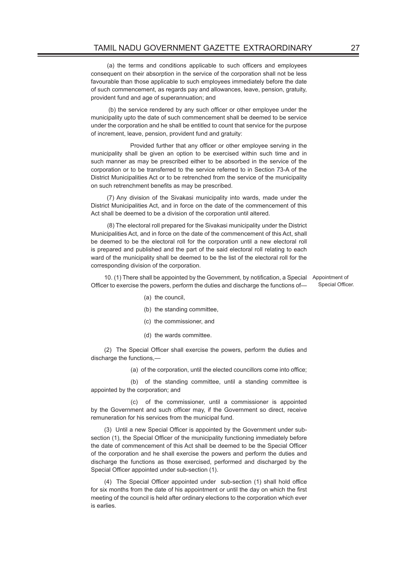(a) the terms and conditions applicable to such officers and employees consequent on their absorption in the service of the corporation shall not be less favourable than those applicable to such employees immediately before the date of such commencement, as regards pay and allowances, leave, pension, gratuity, provident fund and age of superannuation; and

 (b) the service rendered by any such officer or other employee under the municipality upto the date of such commencement shall be deemed to be service under the corporation and he shall be entitled to count that service for the purpose of increment, leave, pension, provident fund and gratuity:

 Provided further that any officer or other employee serving in the municipality shall be given an option to be exercised within such time and in such manner as may be prescribed either to be absorbed in the service of the corporation or to be transferred to the service referred to in Section 73-A of the District Municipalities Act or to be retrenched from the service of the municipality on such retrenchment benefits as may be prescribed.

 (7) Any division of the Sivakasi municipality into wards, made under the District Municipalities Act, and in force on the date of the commencement of this Act shall be deemed to be a division of the corporation until altered.

 (8) The electoral roll prepared for the Sivakasi municipality under the District Municipalities Act, and in force on the date of the commencement of this Act, shall be deemed to be the electoral roll for the corporation until a new electoral roll is prepared and published and the part of the said electoral roll relating to each ward of the municipality shall be deemed to be the list of the electoral roll for the corresponding division of the corporation.

10. (1) There shall be appointed by the Government, by notification, a Special Appointment of Officer to exercise the powers, perform the duties and discharge the functions of— Special Officer.

- (a) the council,
- (b) the standing committee,
- (c) the commissioner, and
- (d) the wards committee.

(2) The Special Officer shall exercise the powers, perform the duties and discharge the functions,—

(a) of the corporation, until the elected councillors come into office;

 (b) of the standing committee, until a standing committee is appointed by the corporation; and

 (c) of the commissioner, until a commissioner is appointed by the Government and such officer may, if the Government so direct, receive remuneration for his services from the municipal fund.

(3) Until a new Special Officer is appointed by the Government under subsection (1), the Special Officer of the municipality functioning immediately before the date of commencement of this Act shall be deemed to be the Special Officer of the corporation and he shall exercise the powers and perform the duties and discharge the functions as those exercised, performed and discharged by the Special Officer appointed under sub-section (1).

(4) The Special Officer appointed under sub-section (1) shall hold office for six months from the date of his appointment or until the day on which the first meeting of the council is held after ordinary elections to the corporation which ever is earlies.